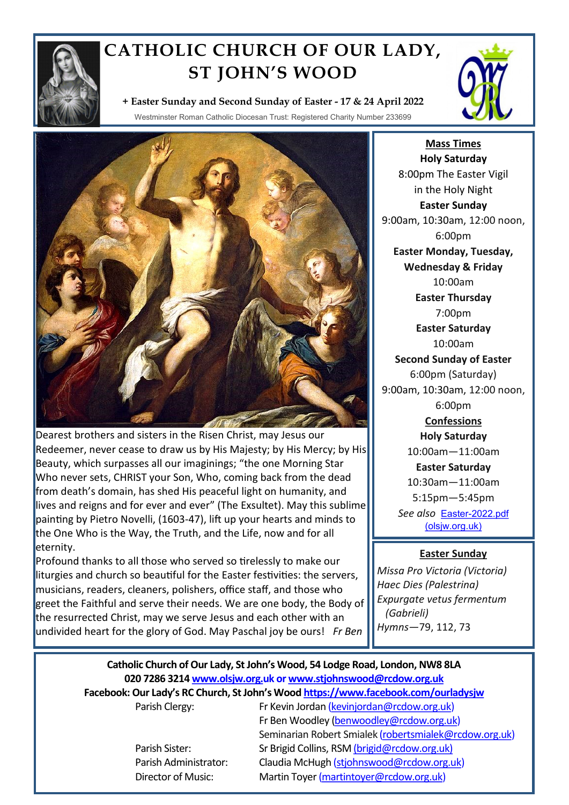

## **CATHOLIC CHURCH OF OUR LADY, ST JOHN'S WOOD**



**+ Easter Sunday and Second Sunday of Easter - 17 & 24 April 2022**

Westminster Roman Catholic Diocesan Trust: Registered Charity Number 233699



Dearest brothers and sisters in the Risen Christ, may Jesus our Redeemer, never cease to draw us by His Majesty; by His Mercy; by His Beauty, which surpasses all our imaginings; "the one Morning Star Who never sets, CHRIST your Son, Who, coming back from the dead from death's domain, has shed His peaceful light on humanity, and lives and reigns and for ever and ever" (The Exsultet). May this sublime painting by Pietro Novelli, (1603-47), lift up your hearts and minds to the One Who is the Way, the Truth, and the Life, now and for all eternity.

Profound thanks to all those who served so tirelessly to make our liturgies and church so beautiful for the Easter festivities: the servers, musicians, readers, cleaners, polishers, office staff, and those who greet the Faithful and serve their needs. We are one body, the Body of the resurrected Christ, may we serve Jesus and each other with an undivided heart for the glory of God. May Paschal joy be ours! *Fr Ben*

**Mass Times Holy Saturday** 8:00pm The Easter Vigil in the Holy Night **Easter Sunday** 9:00am, 10:30am, 12:00 noon, 6:00pm **Easter Monday, Tuesday, Wednesday & Friday** 10:00am **Easter Thursday** 7:00pm **Easter Saturday** 10:00am **Second Sunday of Easter** 6:00pm (Saturday) 9:00am, 10:30am, 12:00 noon, 6:00pm **Confessions Holy Saturday** 10:00am—11:00am **Easter Saturday** 10:30am—11:00am 5:15pm—5:45pm *See also* Easter-[2022.pdf](https://www.olsjw.org.uk/wp-content/uploads/2022/03/Easter-2022.pdf) 

[\(olsjw.org.uk\)](https://www.olsjw.org.uk/wp-content/uploads/2022/03/Easter-2022.pdf)

## **Easter Sunday**

*Missa Pro Victoria (Victoria) Haec Dies (Palestrina) Expurgate vetus fermentum (Gabrieli) Hymns—*79, 112, 73

## **Catholic Church of Our Lady, St John's Wood, 54 Lodge Road, London, NW8 8LA 020 7286 3214 www.olsjw.org.uk or www.stjohnswood@rcdow.org.uk Facebook: Our Lady's RC Church, St John's Wood https://www.facebook.com/ourladysjw**

Parish Clergy: Fr Kevin Jordan (kevinjordan@rcdow.org.uk) Fr Ben Woodley (benwoodley@rcdow.org.uk) Seminarian Robert Smialek (robertsmialek@rcdow.org.uk) Parish Sister: Sr Brigid Collins, RSM (brigid@rcdow.org.uk) Parish Administrator: Claudia McHugh (stjohnswood@rcdow.org.uk) Director of Music: Martin Toyer (martintoyer@rcdow.org.uk)